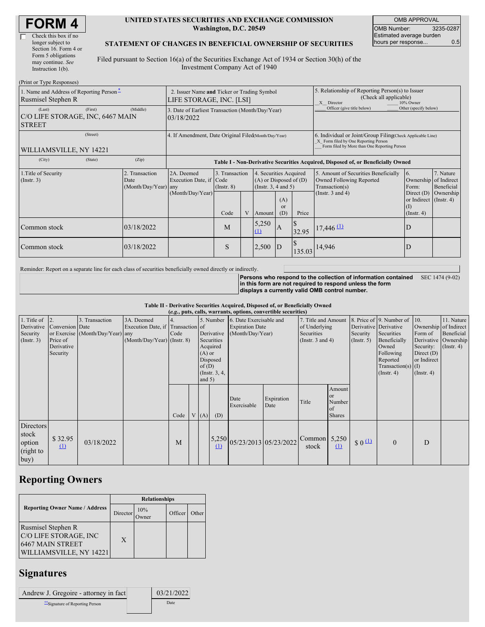| <b>FORM 4</b> |
|---------------|
|---------------|

#### **UNITED STATES SECURITIES AND EXCHANGE COMMISSION Washington, D.C. 20549**

OMB APPROVAL OMB Number: 3235-0287 Estimated average burden hours per response... 0.5

### **STATEMENT OF CHANGES IN BENEFICIAL OWNERSHIP OF SECURITIES**

Filed pursuant to Section 16(a) of the Securities Exchange Act of 1934 or Section 30(h) of the Investment Company Act of 1940

| (Print or Type Responses)                                      |                                                                         |                                            |                                                                                  |                                   |   |                                                                                                          |                                                                                                       |                                                                                                                                                    |                                                                                                             |                                                                                       |                                      |  |
|----------------------------------------------------------------|-------------------------------------------------------------------------|--------------------------------------------|----------------------------------------------------------------------------------|-----------------------------------|---|----------------------------------------------------------------------------------------------------------|-------------------------------------------------------------------------------------------------------|----------------------------------------------------------------------------------------------------------------------------------------------------|-------------------------------------------------------------------------------------------------------------|---------------------------------------------------------------------------------------|--------------------------------------|--|
| 1. Name and Address of Reporting Person-<br>Rusmisel Stephen R | 2. Issuer Name and Ticker or Trading Symbol<br>LIFE STORAGE, INC. [LSI] |                                            |                                                                                  |                                   |   |                                                                                                          | 5. Relationship of Reporting Person(s) to Issuer<br>(Check all applicable)<br>X Director<br>10% Owner |                                                                                                                                                    |                                                                                                             |                                                                                       |                                      |  |
| (Last)<br>C/O LIFE STORAGE, INC, 6467 MAIN<br><b>STREET</b>    | 3. Date of Earliest Transaction (Month/Day/Year)<br>03/18/2022          |                                            |                                                                                  |                                   |   |                                                                                                          | Officer (give title below)                                                                            | Other (specify below)                                                                                                                              |                                                                                                             |                                                                                       |                                      |  |
| (Street)<br>WILLIAMSVILLE, NY 14221                            |                                                                         |                                            | 4. If Amendment, Date Original Filed(Month/Day/Year)                             |                                   |   |                                                                                                          |                                                                                                       | 6. Individual or Joint/Group Filing Check Applicable Line)<br>X Form filed by One Reporting Person<br>Form filed by More than One Reporting Person |                                                                                                             |                                                                                       |                                      |  |
| (City)                                                         | (State)                                                                 | (Zip)                                      | Table I - Non-Derivative Securities Acquired, Disposed of, or Beneficially Owned |                                   |   |                                                                                                          |                                                                                                       |                                                                                                                                                    |                                                                                                             |                                                                                       |                                      |  |
| 1. Title of Security<br>$($ Instr. 3 $)$                       |                                                                         | 2. Transaction<br>Date<br>(Month/Day/Year) | 2A. Deemed<br>Execution Date, if Code<br>any<br>(Month/Day/Year)                 | 3. Transaction<br>$($ Instr. $8)$ |   | 4. Securities Acquired<br>$(A)$ or Disposed of $(D)$<br>(Instr. $3, 4$ and $5$ )<br>(A)<br><sub>or</sub> |                                                                                                       |                                                                                                                                                    | 5. Amount of Securities Beneficially<br>Owned Following Reported<br>Transaction(s)<br>(Instr. $3$ and $4$ ) | 6.<br>Ownership of Indirect<br>Form:<br>Direct $(D)$<br>or Indirect (Instr. 4)<br>(I) | 7. Nature<br>Beneficial<br>Ownership |  |
|                                                                |                                                                         |                                            |                                                                                  | Code                              | V | Amount                                                                                                   | (D)                                                                                                   | Price                                                                                                                                              |                                                                                                             | $($ Instr. 4 $)$                                                                      |                                      |  |
| Common stock                                                   |                                                                         | 03/18/2022                                 |                                                                                  | M                                 |   | 5,250                                                                                                    | A                                                                                                     | 32.95                                                                                                                                              | $17,446 \underline{11}$                                                                                     | D                                                                                     |                                      |  |
| Common stock                                                   |                                                                         | 03/18/2022                                 |                                                                                  | S                                 |   | 2,500                                                                                                    | D                                                                                                     |                                                                                                                                                    | $135.03$ 14,946                                                                                             | D                                                                                     |                                      |  |

Reminder: Report on a separate line for each class of securities beneficially owned directly or indirectly.

**Persons who respond to the collection of information contained in this form are not required to respond unless the form displays a currently valid OMB control number.** SEC 1474 (9-02)

**Table II - Derivative Securities Acquired, Disposed of, or Beneficially Owned**

| (e.g., puts, calls, warrants, options, convertible securities) |                 |                                  |                                   |                 |                 |            |                         |                               |                     |                       |                     |                                |                      |                       |                      |
|----------------------------------------------------------------|-----------------|----------------------------------|-----------------------------------|-----------------|-----------------|------------|-------------------------|-------------------------------|---------------------|-----------------------|---------------------|--------------------------------|----------------------|-----------------------|----------------------|
| 1. Title of                                                    | 2.              | 3. Transaction                   | 3A. Deemed                        | 5. Number<br>4. |                 |            | 6. Date Exercisable and |                               | 7. Title and Amount |                       |                     | 8. Price of 9. Number of 10.   |                      | 11. Nature            |                      |
| Derivative                                                     | Conversion Date |                                  | Execution Date, if Transaction of |                 |                 |            | <b>Expiration Date</b>  |                               | of Underlying       |                       |                     | Derivative Derivative          |                      | Ownership of Indirect |                      |
| Security                                                       |                 | or Exercise (Month/Day/Year) any |                                   | Code            | Derivative      |            | (Month/Day/Year)        |                               | Securities          |                       | Security            | Securities                     | Form of              | Beneficial            |                      |
| (Insert. 3)                                                    | Price of        |                                  | (Month/Day/Year) (Instr. 8)       |                 |                 | Securities |                         |                               |                     | (Instr. $3$ and $4$ ) |                     | $($ Instr. 5 $)$               | Beneficially         |                       | Derivative Ownership |
|                                                                | Derivative      |                                  |                                   |                 |                 | Acquired   |                         |                               |                     |                       |                     |                                | Owned                | Security:             | $($ Instr. 4 $)$     |
|                                                                | Security        |                                  |                                   |                 |                 | $(A)$ or   |                         |                               |                     |                       |                     |                                | Following            | Direct $(D)$          |                      |
|                                                                |                 |                                  |                                   |                 |                 | Disposed   |                         |                               |                     |                       |                     |                                | Reported             | or Indirect           |                      |
|                                                                |                 |                                  |                                   |                 |                 | of(D)      |                         |                               |                     |                       |                     |                                | Transaction(s) $(I)$ |                       |                      |
|                                                                |                 |                                  |                                   |                 | (Instr. $3, 4,$ |            |                         |                               |                     |                       |                     |                                | $($ Instr. 4 $)$     | $($ Instr. 4 $)$      |                      |
|                                                                |                 |                                  |                                   |                 |                 | and $5)$   |                         |                               |                     |                       |                     |                                |                      |                       |                      |
|                                                                |                 |                                  |                                   |                 |                 |            |                         |                               |                     |                       | Amount              |                                |                      |                       |                      |
|                                                                |                 |                                  |                                   |                 |                 |            |                         | Date                          | Expiration          |                       | <sub>or</sub>       |                                |                      |                       |                      |
|                                                                |                 |                                  |                                   |                 |                 |            |                         | Exercisable                   | Date                | Title                 | Number              |                                |                      |                       |                      |
|                                                                |                 |                                  |                                   | Code            |                 | V(A)       | (D)                     |                               |                     |                       | of<br><b>Shares</b> |                                |                      |                       |                      |
|                                                                |                 |                                  |                                   |                 |                 |            |                         |                               |                     |                       |                     |                                |                      |                       |                      |
| Directors                                                      |                 |                                  |                                   |                 |                 |            |                         |                               |                     |                       |                     |                                |                      |                       |                      |
| stock                                                          |                 |                                  |                                   |                 |                 |            |                         |                               |                     |                       |                     |                                |                      |                       |                      |
| option                                                         | \$32.95         | 03/18/2022                       |                                   | M               |                 |            |                         | $5,250$ 05/23/2013 05/23/2022 |                     | Common $5,250$        |                     | $\frac{1}{2}$ 0 $\frac{11}{2}$ | $\mathbf{0}$         | D                     |                      |
| (right to                                                      | (1)             |                                  |                                   |                 |                 |            | (1)                     |                               |                     | stock                 | (1)                 |                                |                      |                       |                      |
|                                                                |                 |                                  |                                   |                 |                 |            |                         |                               |                     |                       |                     |                                |                      |                       |                      |
| buy)                                                           |                 |                                  |                                   |                 |                 |            |                         |                               |                     |                       |                     |                                |                      |                       |                      |

# **Reporting Owners**

|                                                                                            | <b>Relationships</b> |              |         |       |  |  |  |
|--------------------------------------------------------------------------------------------|----------------------|--------------|---------|-------|--|--|--|
| <b>Reporting Owner Name / Address</b>                                                      | Director             | 10%<br>)wner | Officer | Other |  |  |  |
| Rusmisel Stephen R<br>C/O LIFE STORAGE, INC<br>6467 MAIN STREET<br>WILLIAMSVILLE, NY 14221 | X                    |              |         |       |  |  |  |

# **Signatures**

| Andrew J. Gregoire - attorney in fact | 03/21/2022 |
|---------------------------------------|------------|
| Signature of Reporting Person         | Date       |